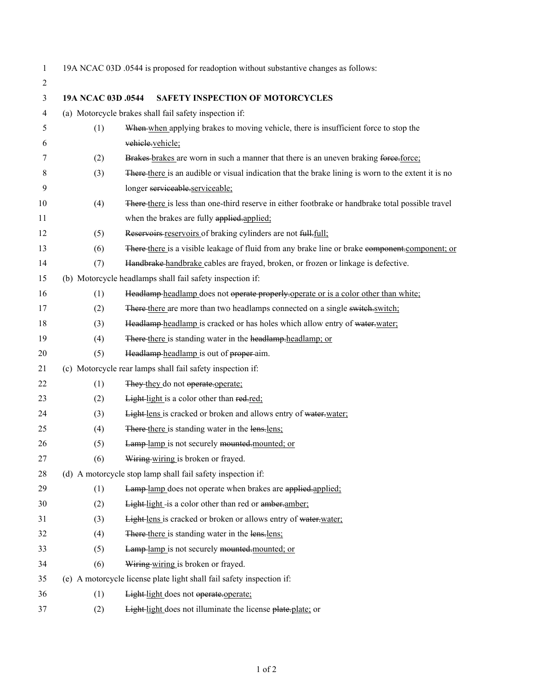19A NCAC 03D .0544 is proposed for readoption without substantive changes as follows:

| $\overline{c}$ |                    |                                                                                                     |
|----------------|--------------------|-----------------------------------------------------------------------------------------------------|
| 3              | 19A NCAC 03D .0544 | <b>SAFETY INSPECTION OF MOTORCYCLES</b>                                                             |
| $\overline{4}$ |                    | (a) Motorcycle brakes shall fail safety inspection if:                                              |
| 5              | (1)                | When when applying brakes to moving vehicle, there is insufficient force to stop the                |
| 6              |                    | vehicle.vehicle;                                                                                    |
| 7              | (2)                | Brakes-brakes are worn in such a manner that there is an uneven braking force-force:                |
| 8              | (3)                | There-there is an audible or visual indication that the brake lining is worn to the extent it is no |
| 9              |                    | longer serviceable.serviceable;                                                                     |
| 10             | (4)                | There-there is less than one-third reserve in either footbrake or handbrake total possible travel   |
| 11             |                    | when the brakes are fully applied-applied:                                                          |
| 12             | (5)                | Reservoirs reservoirs of braking cylinders are not full. full:                                      |
| 13             | (6)                | There there is a visible leakage of fluid from any brake line or brake component.component; or      |
| 14             | (7)                | Handbrake handbrake cables are frayed, broken, or frozen or linkage is defective.                   |
| 15             |                    | (b) Motorcycle headlamps shall fail safety inspection if:                                           |
| 16             | (1)                | Headlamp headlamp does not operate properly operate or is a color other than white:                 |
| 17             | (2)                | There there are more than two headlamps connected on a single switch, switch;                       |
| 18             | (3)                | Headlamp headlamp is cracked or has holes which allow entry of water, water;                        |
| 19             | (4)                | There there is standing water in the headlamp-headlamp; or                                          |
| 20             | (5)                | Headlamp headlamp is out of proper-aim.                                                             |
| 21             |                    | (c) Motorcycle rear lamps shall fail safety inspection if:                                          |
| 22             | (1)                | They they do not operate.operate:                                                                   |
| 23             | (2)                | Light-light is a color other than red-red;                                                          |
| 24             | (3)                | Light lens is cracked or broken and allows entry of water-water:                                    |
| 25             | (4)                | There there is standing water in the lens-lens;                                                     |
| 26             | (5)                | Lamp-lamp is not securely mounted-mounted; or                                                       |
| 27             | (6)                | Wiring wiring is broken or frayed.                                                                  |
| 28             |                    | (d) A motorcycle stop lamp shall fail safety inspection if:                                         |
| 29             | (1)                | Lamp-lamp does not operate when brakes are applied.applied:                                         |
| 30             | (2)                | Light-light-is a color other than red or amber-amber;                                               |
| 31             | (3)                | Light-lens is cracked or broken or allows entry of water-water;                                     |
| 32             | (4)                | There there is standing water in the lens-lens:                                                     |
| 33             | (5)                | Lamp-lamp is not securely mounted-mounted; or                                                       |
| 34             | (6)                | Wiring wiring is broken or frayed.                                                                  |
| 35             |                    | (e) A motorcycle license plate light shall fail safety inspection if:                               |
| 36             | (1)                | Light-light does not operate.operate;                                                               |
| 37             | (2)                | Light light does not illuminate the license plate-plate; or                                         |